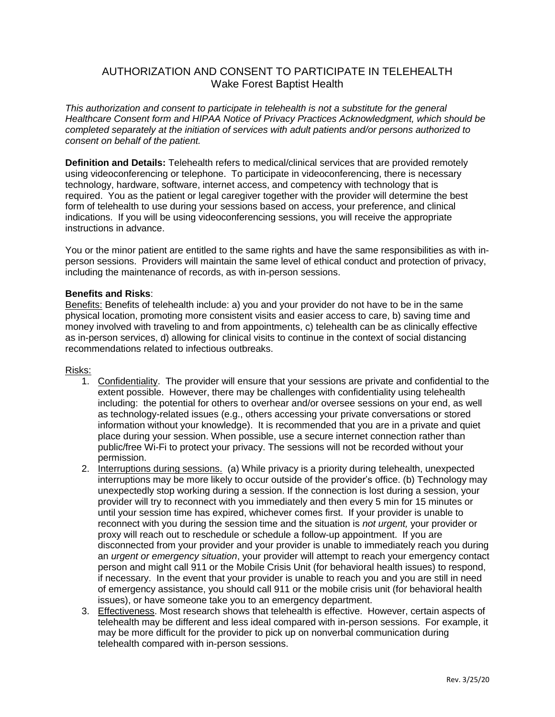## AUTHORIZATION AND CONSENT TO PARTICIPATE IN TELEHEALTH Wake Forest Baptist Health

*This authorization and consent to participate in telehealth is not a substitute for the general Healthcare Consent form and HIPAA Notice of Privacy Practices Acknowledgment, which should be completed separately at the initiation of services with adult patients and/or persons authorized to consent on behalf of the patient.*

**Definition and Details:** Telehealth refers to medical/clinical services that are provided remotely using videoconferencing or telephone. To participate in videoconferencing, there is necessary technology, hardware, software, internet access, and competency with technology that is required. You as the patient or legal caregiver together with the provider will determine the best form of telehealth to use during your sessions based on access, your preference, and clinical indications. If you will be using videoconferencing sessions, you will receive the appropriate instructions in advance.

You or the minor patient are entitled to the same rights and have the same responsibilities as with inperson sessions. Providers will maintain the same level of ethical conduct and protection of privacy, including the maintenance of records, as with in-person sessions.

## **Benefits and Risks**:

Benefits: Benefits of telehealth include: a) you and your provider do not have to be in the same physical location, promoting more consistent visits and easier access to care, b) saving time and money involved with traveling to and from appointments, c) telehealth can be as clinically effective as in-person services, d) allowing for clinical visits to continue in the context of social distancing recommendations related to infectious outbreaks.

## Risks:

- 1. Confidentiality. The provider will ensure that your sessions are private and confidential to the extent possible. However, there may be challenges with confidentiality using telehealth including: the potential for others to overhear and/or oversee sessions on your end, as well as technology-related issues (e.g., others accessing your private conversations or stored information without your knowledge). It is recommended that you are in a private and quiet place during your session. When possible, use a secure internet connection rather than public/free Wi-Fi to protect your privacy. The sessions will not be recorded without your permission.
- 2. Interruptions during sessions. (a) While privacy is a priority during telehealth, unexpected interruptions may be more likely to occur outside of the provider's office. (b) Technology may unexpectedly stop working during a session. If the connection is lost during a session, your provider will try to reconnect with you immediately and then every 5 min for 15 minutes or until your session time has expired, whichever comes first. If your provider is unable to reconnect with you during the session time and the situation is *not urgent,* your provider or proxy will reach out to reschedule or schedule a follow-up appointment. If you are disconnected from your provider and your provider is unable to immediately reach you during an *urgent or emergency situation*, your provider will attempt to reach your emergency contact person and might call 911 or the Mobile Crisis Unit (for behavioral health issues) to respond, if necessary. In the event that your provider is unable to reach you and you are still in need of emergency assistance, you should call 911 or the mobile crisis unit (for behavioral health issues), or have someone take you to an emergency department.
- 3. Effectiveness. Most research shows that telehealth is effective. However, certain aspects of telehealth may be different and less ideal compared with in-person sessions. For example, it may be more difficult for the provider to pick up on nonverbal communication during telehealth compared with in-person sessions.